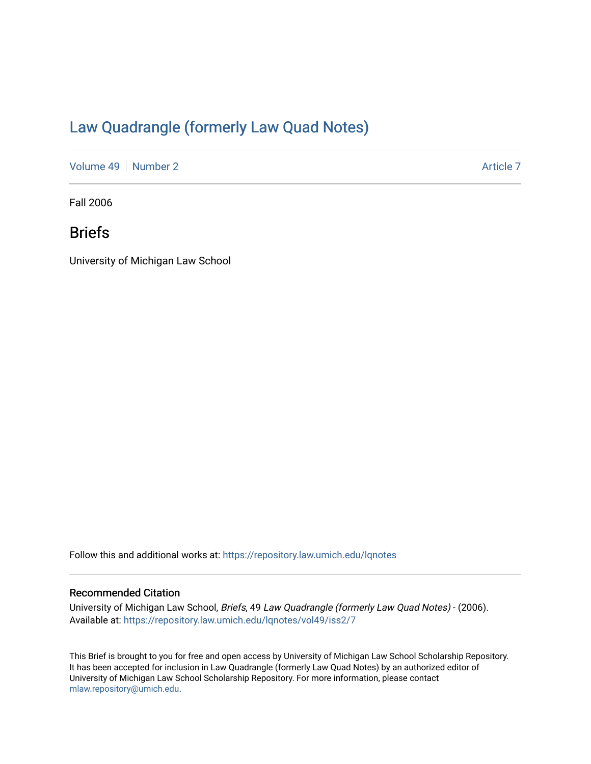# [Law Quadrangle \(formerly Law Quad Notes\)](https://repository.law.umich.edu/lqnotes)

[Volume 49](https://repository.law.umich.edu/lqnotes/vol49) [Number 2](https://repository.law.umich.edu/lqnotes/vol49/iss2) Article 7

Fall 2006

## Briefs

University of Michigan Law School

Follow this and additional works at: [https://repository.law.umich.edu/lqnotes](https://repository.law.umich.edu/lqnotes?utm_source=repository.law.umich.edu%2Flqnotes%2Fvol49%2Fiss2%2F7&utm_medium=PDF&utm_campaign=PDFCoverPages) 

#### Recommended Citation

University of Michigan Law School, Briefs, 49 Law Quadrangle (formerly Law Quad Notes) - (2006). Available at: [https://repository.law.umich.edu/lqnotes/vol49/iss2/7](https://repository.law.umich.edu/lqnotes/vol49/iss2/7?utm_source=repository.law.umich.edu%2Flqnotes%2Fvol49%2Fiss2%2F7&utm_medium=PDF&utm_campaign=PDFCoverPages) 

This Brief is brought to you for free and open access by University of Michigan Law School Scholarship Repository. It has been accepted for inclusion in Law Quadrangle (formerly Law Quad Notes) by an authorized editor of University of Michigan Law School Scholarship Repository. For more information, please contact [mlaw.repository@umich.edu.](mailto:mlaw.repository@umich.edu)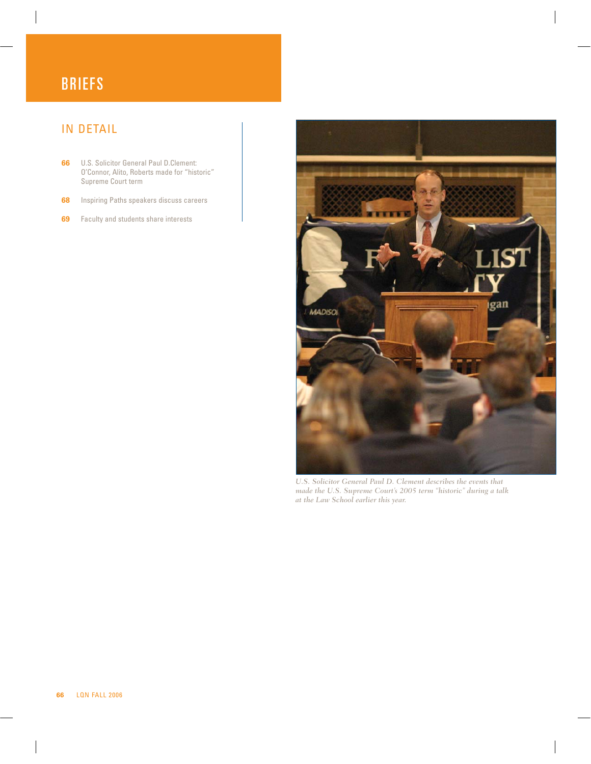# **BRIEFS**

## IN DETAIL

- **66** U.S. Solicitor General Paul D.Clement: O'Connor, Alito, Roberts made for "historic" Supreme Court term
- **68** Inspiring Paths speakers discuss careers
- **69** Faculty and students share interests



*U.S. Solicitor General Paul D. Clement describes the events that made the U.S. Supreme Court's 2005 term "historic" during a talk at the Law School earlier this year.*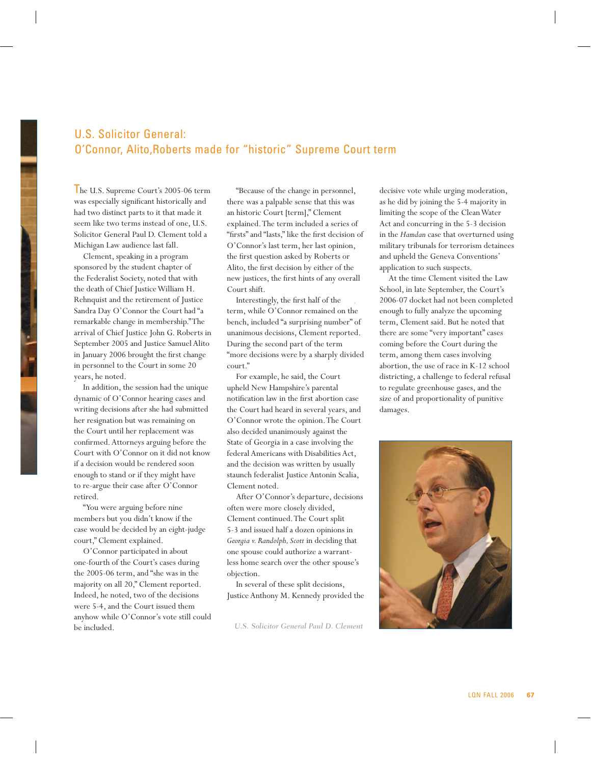#### U.S. Solicitor General: O'Connor, Alito,Roberts made for "historic" Supreme Court term

In the U.S. Supreme Court's 2005-06 term was especially significant historically and had two distinct parts to it that made it seem like two terms instead of one, U.S. Solicitor General Paul D. Clement told a Michigan Law audience last fall.

Clement, speaking in a program sponsored by the student chapter of the Federalist Society, noted that with the death of Chief Justice William H. Rehnquist and the retirement of Justice Sandra Day O'Connor the Court had "a remarkable change in membership." The arrival of Chief Justice John G. Roberts in September 2005 and Justice Samuel Alito in January 2006 brought the first change in personnel to the Court in some 20 years, he noted.

In addition, the session had the unique dynamic of O'Connor hearing cases and writing decisions after she had submitted her resignation but was remaining on the Court until her replacement was confirmed. Attorneys arguing before the Court with O'Connor on it did not know if a decision would be rendered soon enough to stand or if they might have to re-argue their case after O'Connor retired.

"You were arguing before nine members but you didn't know if the case would be decided by an eight-judge court," Clement explained.

O'Connor participated in about one-fourth of the Court's cases during the 2005-06 term, and "she was in the majority on all 20," Clement reported. Indeed, he noted, two of the decisions were 5-4, and the Court issued them anyhow while O'Connor's vote still could be included.

"Because of the change in personnel, there was a palpable sense that this was an historic Court [term]," Clement explained. The term included a series of "firsts" and "lasts," like the first decision of O'Connor's last term, her last opinion, the first question asked by Roberts or Alito, the first decision by either of the new justices, the first hints of any overall Court shift.

term, while O'Connor remained on the Interestingly, the first half of the bench, included "a surprising number" of unanimous decisions, Clement reported. During the second part of the term "more decisions were by a sharply divided court."

For example, he said, the Court upheld New Hampshire's parental notification law in the first abortion case the Court had heard in several years, and O'Connor wrote the opinion. The Court also decided unanimously against the State of Georgia in a case involving the federal Americans with Disabilities Act, and the decision was written by usually staunch federalist Justice Antonin Scalia, Clement noted.

After O'Connor's departure, decisions often were more closely divided, Clement continued. The Court split 5-3 and issued half a dozen opinions in *Georgia v. Randolph, Scott* in deciding that one spouse could authorize a warrantless home search over the other spouse's objection.

In several of these split decisions, Justice Anthony M. Kennedy provided the

*U.S. Solicitor General Paul D. Clement*

decisive vote while urging moderation, as he did by joining the 5-4 majority in limiting the scope of the Clean Water Act and concurring in the 5-3 decision in the *Hamdan* case that overturned using military tribunals for terrorism detainees and upheld the Geneva Conventions' application to such suspects.

At the time Clement visited the Law School, in late September, the Court's 2006-07 docket had not been completed enough to fully analyze the upcoming term, Clement said. But he noted that there are some "very important" cases coming before the Court during the term, among them cases involving abortion, the use of race in K-12 school districting, a challenge to federal refusal to regulate greenhouse gases, and the size of and proportionality of punitive damages.

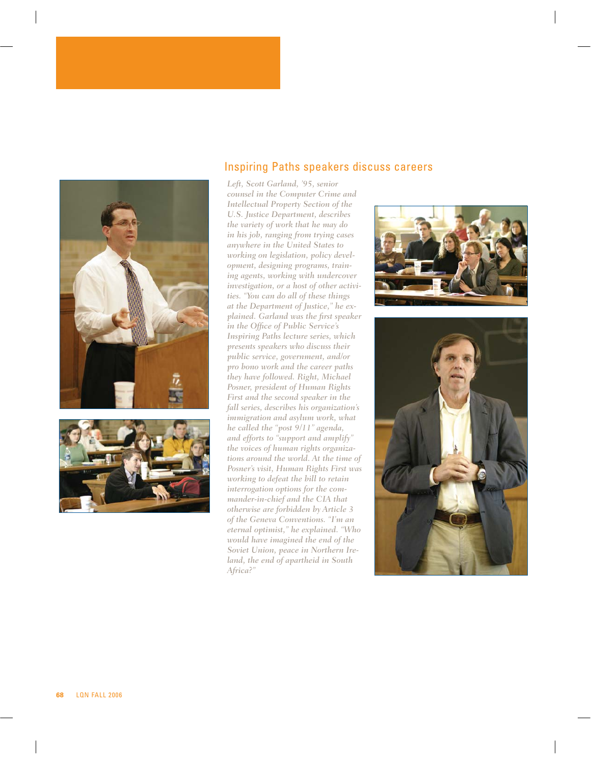



#### Inspiring Paths speakers discuss careers

*Left, Scott Garland, '95, senior counsel in the Computer Crime and Intellectual Property Section of the U.S. Justice Department, describes the variety of work that he may do in his job, ranging from trying cases anywhere in the United States to working on legislation, policy development, designing programs, training agents, working with undercover investigation, or a host of other activities. "You can do all of these things at the Department of Justice," he explained. Garland was the first speaker in the Office of Public Service's Inspiring Paths lecture series, which presents speakers who discuss their public service, government, and/or pro bono work and the career paths they have followed. Right, Michael Posner, president of Human Rights First and the second speaker in the fall series, describes his organization's immigration and asylum work, what he called the "post 9/11" agenda, and efforts to "support and amplify" the voices of human rights organizations around the world. At the time of Posner's visit, Human Rights First was working to defeat the bill to retain interrogation options for the commander-in-chief and the CIA that otherwise are forbidden by Article 3 of the Geneva Conventions. "I'm an eternal optimist," he explained. "Who would have imagined the end of the Soviet Union, peace in Northern Ireland, the end of apartheid in South Africa?"*